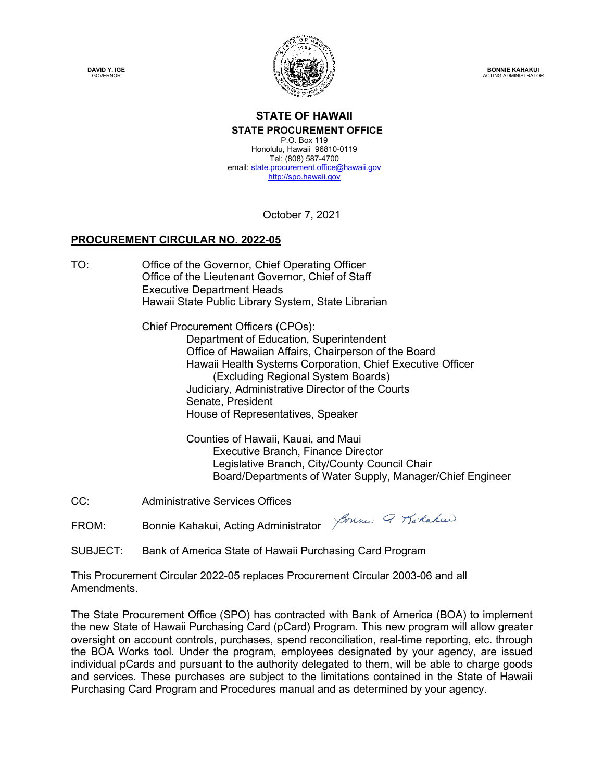**DAVID Y. IGE GOVERNOR** 



**BONNIE KAHAKUI** ACTING ADMINISTRATOR

#### **STATE OF HAWAII STATE PROCUREMENT OFFICE**

P.O. Box 119 Honolulu, Hawaii 96810-0119 Tel: (808) 587-4700 email: state.procurement.office@hawaii.gov http://spo.hawaii.gov

October 7, 2021

#### **PROCUREMENT CIRCULAR NO. 2022-05**

TO: Office of the Governor, Chief Operating Officer Office of the Lieutenant Governor, Chief of Staff Executive Department Heads Hawaii State Public Library System, State Librarian

> Chief Procurement Officers (CPOs): Department of Education, Superintendent Office of Hawaiian Affairs, Chairperson of the Board Hawaii Health Systems Corporation, Chief Executive Officer (Excluding Regional System Boards) Judiciary, Administrative Director of the Courts Senate, President House of Representatives, Speaker

> > Counties of Hawaii, Kauai, and Maui Executive Branch, Finance Director Legislative Branch, City/County Council Chair Board/Departments of Water Supply, Manager/Chief Engineer

CC: Administrative Services Offices

FROM: Bonnie Kahakui, Acting Administrator *Journes 9 Karleakus* 

SUBJECT: Bank of America State of Hawaii Purchasing Card Program

This Procurement Circular 2022-05 replaces Procurement Circular 2003-06 and all Amendments.

The State Procurement Office (SPO) has contracted with Bank of America (BOA) to implement the new State of Hawaii Purchasing Card (pCard) Program. This new program will allow greater oversight on account controls, purchases, spend reconciliation, real-time reporting, etc. through the BOA Works tool. Under the program, employees designated by your agency, are issued individual pCards and pursuant to the authority delegated to them, will be able to charge goods and services. These purchases are subject to the limitations contained in the State of Hawaii Purchasing Card Program and Procedures manual and as determined by your agency.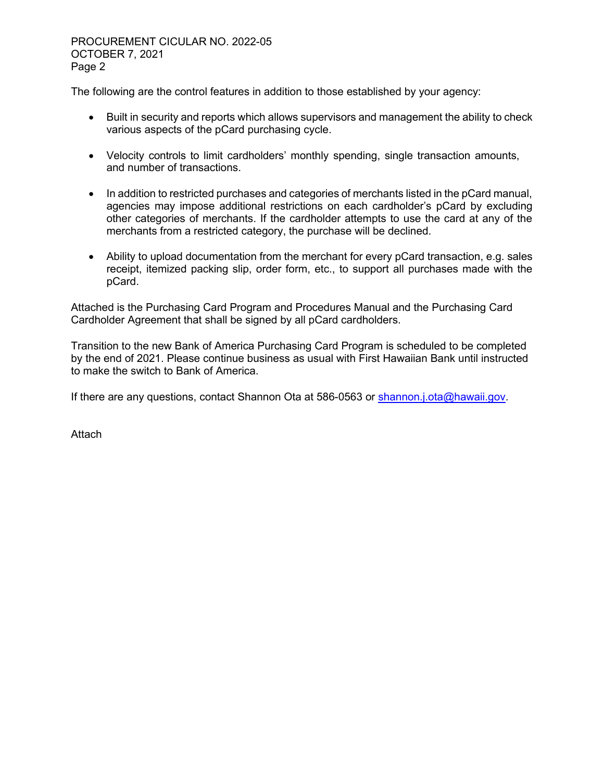PROCUREMENT CICULAR NO. 2022-05 OCTOBER 7, 2021 Page 2

The following are the control features in addition to those established by your agency:

- Built in security and reports which allows supervisors and management the ability to check various aspects of the pCard purchasing cycle.
- Velocity controls to limit cardholders' monthly spending, single transaction amounts, and number of transactions.
- In addition to restricted purchases and categories of merchants listed in the pCard manual, agencies may impose additional restrictions on each cardholder's pCard by excluding other categories of merchants. If the cardholder attempts to use the card at any of the merchants from a restricted category, the purchase will be declined.
- Ability to upload documentation from the merchant for every pCard transaction, e.g. sales receipt, itemized packing slip, order form, etc., to support all purchases made with the pCard.

Attached is the Purchasing Card Program and Procedures Manual and the Purchasing Card Cardholder Agreement that shall be signed by all pCard cardholders.

Transition to the new Bank of America Purchasing Card Program is scheduled to be completed by the end of 2021. Please continue business as usual with First Hawaiian Bank until instructed to make the switch to Bank of America.

If there are any questions, contact Shannon Ota at 586-0563 or shannon.j.ota@hawaii.gov.

**Attach**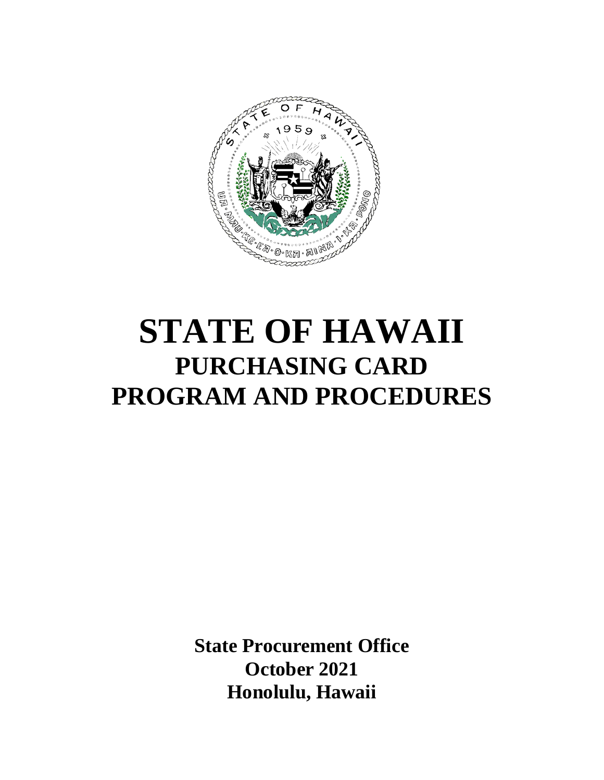

# **STATE OF HAWAII PURCHASING CARD PROGRAM AND PROCEDURES**

**State Procurement Office October 2021 Honolulu, Hawaii**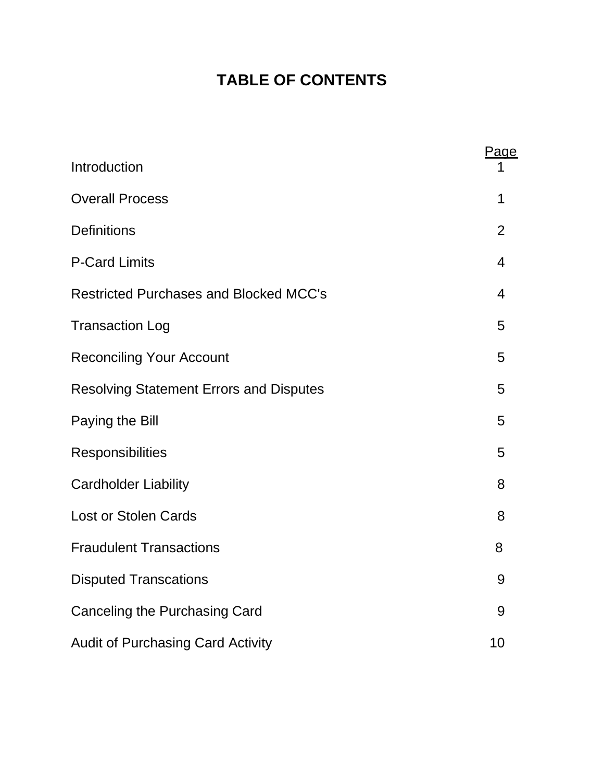# **TABLE OF CONTENTS**

| Introduction                                   | Page           |
|------------------------------------------------|----------------|
| <b>Overall Process</b>                         | 1              |
| <b>Definitions</b>                             | $\overline{2}$ |
| <b>P-Card Limits</b>                           | 4              |
| <b>Restricted Purchases and Blocked MCC's</b>  | 4              |
| <b>Transaction Log</b>                         | 5              |
| <b>Reconciling Your Account</b>                | 5              |
| <b>Resolving Statement Errors and Disputes</b> | 5              |
| Paying the Bill                                | 5              |
| Responsibilities                               | 5              |
| <b>Cardholder Liability</b>                    | 8              |
| <b>Lost or Stolen Cards</b>                    | 8              |
| <b>Fraudulent Transactions</b>                 | 8              |
| <b>Disputed Transcations</b>                   | 9              |
| Canceling the Purchasing Card                  | 9              |
| <b>Audit of Purchasing Card Activity</b>       | 10             |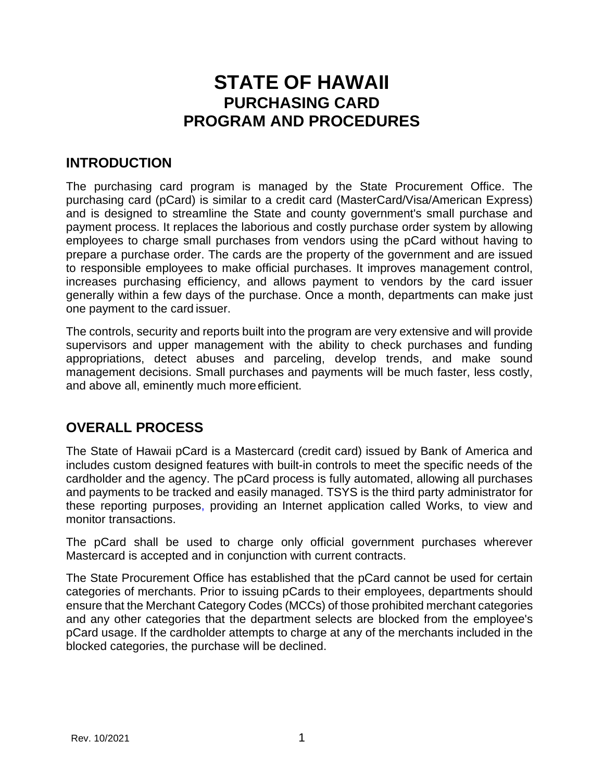# **STATE OF HAWAII PURCHASING CARD PROGRAM AND PROCEDURES**

## **INTRODUCTION**

The purchasing card program is managed by the State Procurement Office. The purchasing card (pCard) is similar to a credit card (MasterCard/Visa/American Express) and is designed to streamline the State and county government's small purchase and payment process. It replaces the laborious and costly purchase order system by allowing employees to charge small purchases from vendors using the pCard without having to prepare a purchase order. The cards are the property of the government and are issued to responsible employees to make official purchases. It improves management control, increases purchasing efficiency, and allows payment to vendors by the card issuer generally within a few days of the purchase. Once a month, departments can make just one payment to the card issuer.

The controls, security and reports built into the program are very extensive and will provide supervisors and upper management with the ability to check purchases and funding appropriations, detect abuses and parceling, develop trends, and make sound management decisions. Small purchases and payments will be much faster, less costly, and above all, eminently much moreefficient.

## **OVERALL PROCESS**

The State of Hawaii pCard is a Mastercard (credit card) issued by Bank of America and includes custom designed features with built-in controls to meet the specific needs of the cardholder and the agency. The pCard process is fully automated, allowing all purchases and payments to be tracked and easily managed. TSYS is the third party administrator for these reporting purposes, providing an Internet application called Works, to view and monitor transactions.

The pCard shall be used to charge only official government purchases wherever Mastercard is accepted and in conjunction with current contracts.

The State Procurement Office has established that the pCard cannot be used for certain categories of merchants. Prior to issuing pCards to their employees, departments should ensure that the Merchant Category Codes (MCCs) of those prohibited merchant categories and any other categories that the department selects are blocked from the employee's pCard usage. If the cardholder attempts to charge at any of the merchants included in the blocked categories, the purchase will be declined.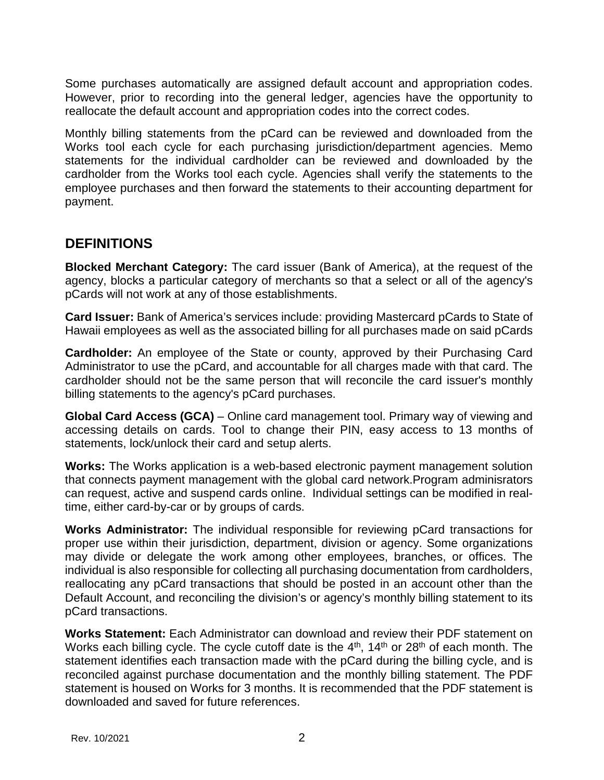Some purchases automatically are assigned default account and appropriation codes. However, prior to recording into the general ledger, agencies have the opportunity to reallocate the default account and appropriation codes into the correct codes.

Monthly billing statements from the pCard can be reviewed and downloaded from the Works tool each cycle for each purchasing jurisdiction/department agencies. Memo statements for the individual cardholder can be reviewed and downloaded by the cardholder from the Works tool each cycle. Agencies shall verify the statements to the employee purchases and then forward the statements to their accounting department for payment.

#### **DEFINITIONS**

**Blocked Merchant Category:** The card issuer (Bank of America), at the request of the agency, blocks a particular category of merchants so that a select or all of the agency's pCards will not work at any of those establishments.

**Card Issuer:** Bank of America's services include: providing Mastercard pCards to State of Hawaii employees as well as the associated billing for all purchases made on said pCards

**Cardholder:** An employee of the State or county, approved by their Purchasing Card Administrator to use the pCard, and accountable for all charges made with that card. The cardholder should not be the same person that will reconcile the card issuer's monthly billing statements to the agency's pCard purchases.

**Global Card Access (GCA)** – Online card management tool. Primary way of viewing and accessing details on cards. Tool to change their PIN, easy access to 13 months of statements, lock/unlock their card and setup alerts.

**Works:** The Works application is a web-based electronic payment management solution that connects payment management with the global card network.Program adminisrators can request, active and suspend cards online. Individual settings can be modified in realtime, either card-by-car or by groups of cards.

**Works Administrator:** The individual responsible for reviewing pCard transactions for proper use within their jurisdiction, department, division or agency. Some organizations may divide or delegate the work among other employees, branches, or offices. The individual is also responsible for collecting all purchasing documentation from cardholders, reallocating any pCard transactions that should be posted in an account other than the Default Account, and reconciling the division's or agency's monthly billing statement to its pCard transactions.

**Works Statement:** Each Administrator can download and review their PDF statement on Works each billing cycle. The cycle cutoff date is the  $4<sup>th</sup>$ , 14<sup>th</sup> or 28<sup>th</sup> of each month. The statement identifies each transaction made with the pCard during the billing cycle, and is reconciled against purchase documentation and the monthly billing statement. The PDF statement is housed on Works for 3 months. It is recommended that the PDF statement is downloaded and saved for future references.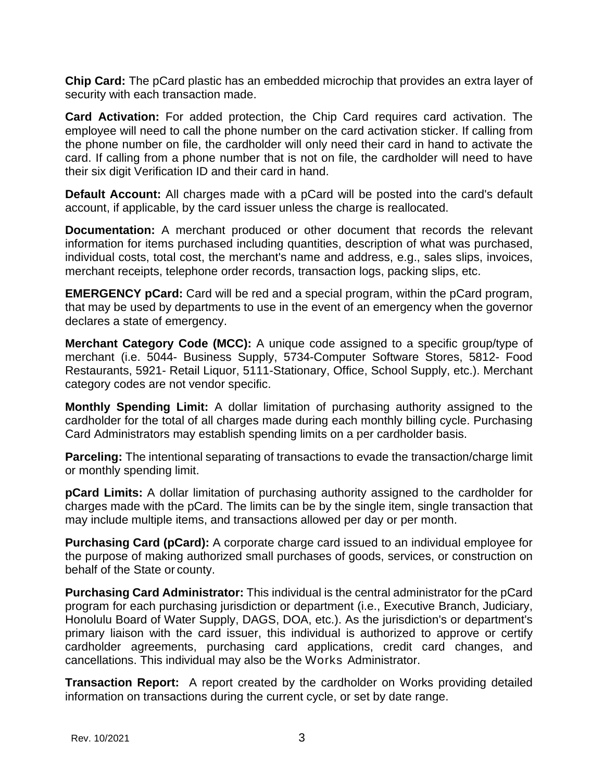**Chip Card:** The pCard plastic has an embedded microchip that provides an extra layer of security with each transaction made.

**Card Activation:** For added protection, the Chip Card requires card activation. The employee will need to call the phone number on the card activation sticker. If calling from the phone number on file, the cardholder will only need their card in hand to activate the card. If calling from a phone number that is not on file, the cardholder will need to have their six digit Verification ID and their card in hand.

**Default Account:** All charges made with a pCard will be posted into the card's default account, if applicable, by the card issuer unless the charge is reallocated.

**Documentation:** A merchant produced or other document that records the relevant information for items purchased including quantities, description of what was purchased, individual costs, total cost, the merchant's name and address, e.g., sales slips, invoices, merchant receipts, telephone order records, transaction logs, packing slips, etc.

**EMERGENCY pCard:** Card will be red and a special program, within the pCard program, that may be used by departments to use in the event of an emergency when the governor declares a state of emergency.

**Merchant Category Code (MCC):** A unique code assigned to a specific group/type of merchant (i.e. 5044- Business Supply, 5734-Computer Software Stores, 5812- Food Restaurants, 5921- Retail Liquor, 5111-Stationary, Office, School Supply, etc.). Merchant category codes are not vendor specific.

**Monthly Spending Limit:** A dollar limitation of purchasing authority assigned to the cardholder for the total of all charges made during each monthly billing cycle. Purchasing Card Administrators may establish spending limits on a per cardholder basis.

**Parceling:** The intentional separating of transactions to evade the transaction/charge limit or monthly spending limit.

**pCard Limits:** A dollar limitation of purchasing authority assigned to the cardholder for charges made with the pCard. The limits can be by the single item, single transaction that may include multiple items, and transactions allowed per day or per month.

**Purchasing Card (pCard):** A corporate charge card issued to an individual employee for the purpose of making authorized small purchases of goods, services, or construction on behalf of the State or county.

**Purchasing Card Administrator:** This individual is the central administrator for the pCard program for each purchasing jurisdiction or department (i.e., Executive Branch, Judiciary, Honolulu Board of Water Supply, DAGS, DOA, etc.). As the jurisdiction's or department's primary liaison with the card issuer, this individual is authorized to approve or certify cardholder agreements, purchasing card applications, credit card changes, and cancellations. This individual may also be the Works Administrator.

**Transaction Report:** A report created by the cardholder on Works providing detailed information on transactions during the current cycle, or set by date range.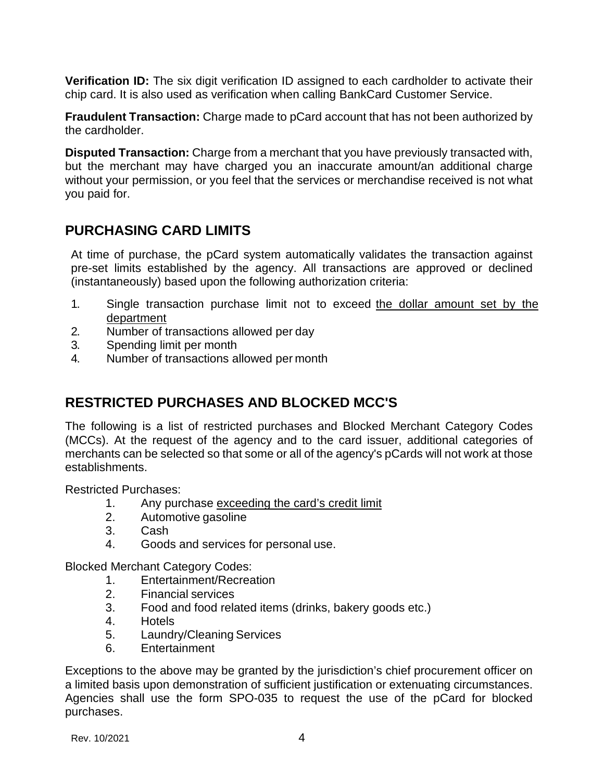**Verification ID:** The six digit verification ID assigned to each cardholder to activate their chip card. It is also used as verification when calling BankCard Customer Service.

**Fraudulent Transaction:** Charge made to pCard account that has not been authorized by the cardholder.

**Disputed Transaction:** Charge from a merchant that you have previously transacted with, but the merchant may have charged you an inaccurate amount/an additional charge without your permission, or you feel that the services or merchandise received is not what you paid for.

## **PURCHASING CARD LIMITS**

At time of purchase, the pCard system automatically validates the transaction against pre-set limits established by the agency. All transactions are approved or declined (instantaneously) based upon the following authorization criteria:

- 1. Single transaction purchase limit not to exceed the dollar amount set by the department
- 2. Number of transactions allowed per day
- 3. Spending limit per month
- 4. Number of transactions allowed per month

## **RESTRICTED PURCHASES AND BLOCKED MCC'S**

The following is a list of restricted purchases and Blocked Merchant Category Codes (MCCs). At the request of the agency and to the card issuer, additional categories of merchants can be selected so that some or all of the agency's pCards will not work at those establishments.

Restricted Purchases:

- 1. Any purchase exceeding the card's credit limit
- 2. Automotive gasoline
- 3. Cash
- 4. Goods and services for personal use.

Blocked Merchant Category Codes:

- 1. Entertainment/Recreation
- 2. Financial services
- 3. Food and food related items (drinks, bakery goods etc.)
- 4. Hotels
- 5. Laundry/Cleaning Services
- 6. Entertainment

Exceptions to the above may be granted by the jurisdiction's chief procurement officer on a limited basis upon demonstration of sufficient justification or extenuating circumstances. Agencies shall use the form SPO-035 to request the use of the pCard for blocked purchases.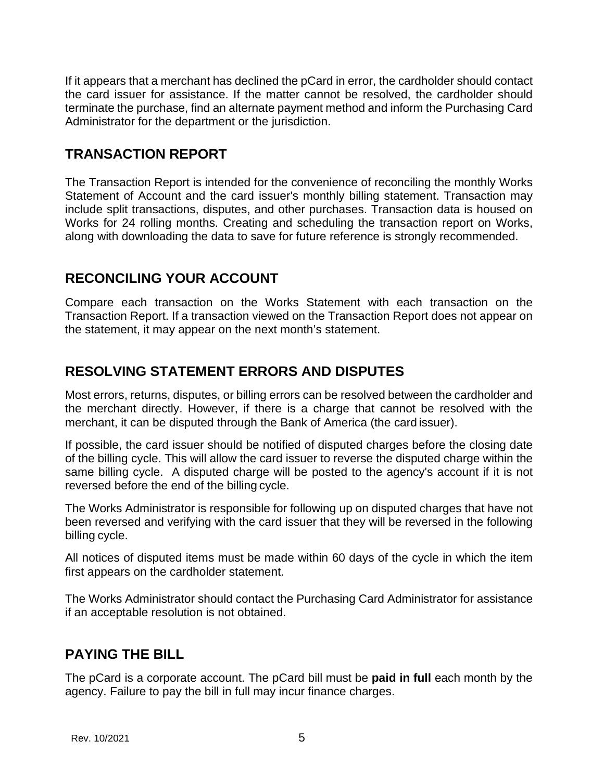If it appears that a merchant has declined the pCard in error, the cardholder should contact the card issuer for assistance. If the matter cannot be resolved, the cardholder should terminate the purchase, find an alternate payment method and inform the Purchasing Card Administrator for the department or the jurisdiction.

#### **TRANSACTION REPORT**

The Transaction Report is intended for the convenience of reconciling the monthly Works Statement of Account and the card issuer's monthly billing statement. Transaction may include split transactions, disputes, and other purchases. Transaction data is housed on Works for 24 rolling months. Creating and scheduling the transaction report on Works, along with downloading the data to save for future reference is strongly recommended.

## **RECONCILING YOUR ACCOUNT**

Compare each transaction on the Works Statement with each transaction on the Transaction Report. If a transaction viewed on the Transaction Report does not appear on the statement, it may appear on the next month's statement.

## **RESOLVING STATEMENT ERRORS AND DISPUTES**

Most errors, returns, disputes, or billing errors can be resolved between the cardholder and the merchant directly. However, if there is a charge that cannot be resolved with the merchant, it can be disputed through the Bank of America (the card issuer).

If possible, the card issuer should be notified of disputed charges before the closing date of the billing cycle. This will allow the card issuer to reverse the disputed charge within the same billing cycle. A disputed charge will be posted to the agency's account if it is not reversed before the end of the billing cycle.

The Works Administrator is responsible for following up on disputed charges that have not been reversed and verifying with the card issuer that they will be reversed in the following billing cycle.

All notices of disputed items must be made within 60 days of the cycle in which the item first appears on the cardholder statement.

The Works Administrator should contact the Purchasing Card Administrator for assistance if an acceptable resolution is not obtained.

## **PAYING THE BILL**

The pCard is a corporate account. The pCard bill must be **paid in full** each month by the agency. Failure to pay the bill in full may incur finance charges.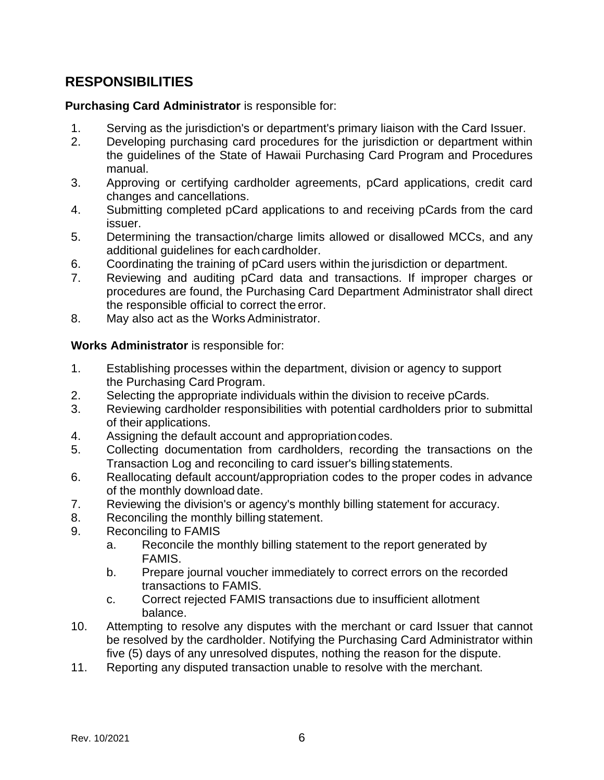# **RESPONSIBILITIES**

#### **Purchasing Card Administrator** is responsible for:

- 1. Serving as the jurisdiction's or department's primary liaison with the Card Issuer.
- 2. Developing purchasing card procedures for the jurisdiction or department within the guidelines of the State of Hawaii Purchasing Card Program and Procedures manual.
- 3. Approving or certifying cardholder agreements, pCard applications, credit card changes and cancellations.
- 4. Submitting completed pCard applications to and receiving pCards from the card issuer.
- 5. Determining the transaction/charge limits allowed or disallowed MCCs, and any additional guidelines for each cardholder.
- 6. Coordinating the training of pCard users within the jurisdiction or department.
- 7. Reviewing and auditing pCard data and transactions. If improper charges or procedures are found, the Purchasing Card Department Administrator shall direct the responsible official to correct the error.
- 8. May also act as the Works Administrator.

#### **Works Administrator** is responsible for:

- 1. Establishing processes within the department, division or agency to support the Purchasing Card Program.
- 2. Selecting the appropriate individuals within the division to receive pCards.
- 3. Reviewing cardholder responsibilities with potential cardholders prior to submittal of their applications.
- 4. Assigning the default account and appropriation codes.
- 5. Collecting documentation from cardholders, recording the transactions on the Transaction Log and reconciling to card issuer's billingstatements.
- 6. Reallocating default account/appropriation codes to the proper codes in advance of the monthly download date.
- 7. Reviewing the division's or agency's monthly billing statement for accuracy.
- 8. Reconciling the monthly billing statement.
- 9. Reconciling to FAMIS
	- a. Reconcile the monthly billing statement to the report generated by FAMIS.
	- b. Prepare journal voucher immediately to correct errors on the recorded transactions to FAMIS.
	- c. Correct rejected FAMIS transactions due to insufficient allotment balance.
- 10. Attempting to resolve any disputes with the merchant or card Issuer that cannot be resolved by the cardholder. Notifying the Purchasing Card Administrator within five (5) days of any unresolved disputes, nothing the reason for the dispute.
- 11. Reporting any disputed transaction unable to resolve with the merchant.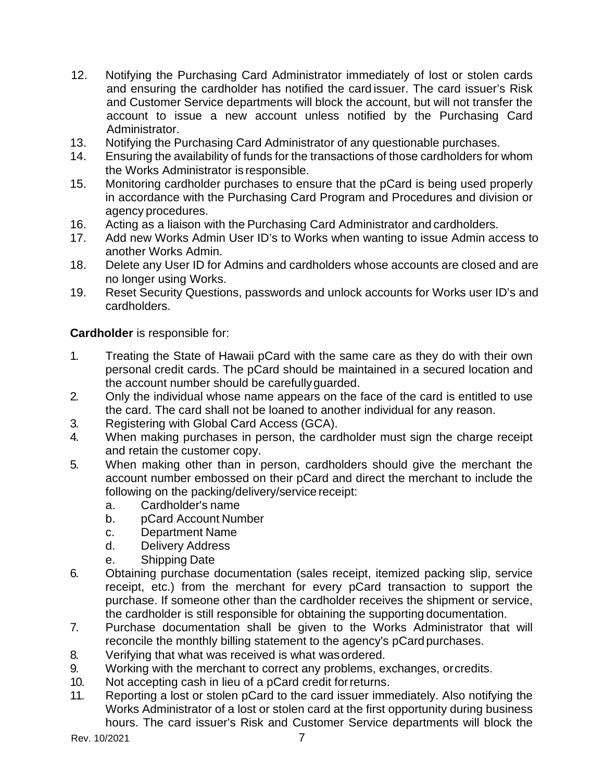- 12. Notifying the Purchasing Card Administrator immediately of lost or stolen cards and ensuring the cardholder has notified the card issuer. The card issuer's Risk and Customer Service departments will block the account, but will not transfer the account to issue a new account unless notified by the Purchasing Card Administrator.
- 13. Notifying the Purchasing Card Administrator of any questionable purchases.
- 14. Ensuring the availability of funds for the transactions of those cardholders for whom the Works Administrator is responsible.
- 15. Monitoring cardholder purchases to ensure that the pCard is being used properly in accordance with the Purchasing Card Program and Procedures and division or agency procedures.
- 16. Acting as a liaison with the Purchasing Card Administrator and cardholders.
- 17. Add new Works Admin User ID's to Works when wanting to issue Admin access to another Works Admin.
- 18. Delete any User ID for Admins and cardholders whose accounts are closed and are no longer using Works.
- 19. Reset Security Questions, passwords and unlock accounts for Works user ID's and cardholders.

**Cardholder** is responsible for:

- 1. Treating the State of Hawaii pCard with the same care as they do with their own personal credit cards. The pCard should be maintained in a secured location and the account number should be carefullyguarded.
- 2. Only the individual whose name appears on the face of the card is entitled to use the card. The card shall not be loaned to another individual for any reason.
- 3. Registering with Global Card Access (GCA).
- 4. When making purchases in person, the cardholder must sign the charge receipt and retain the customer copy.
- 5. When making other than in person, cardholders should give the merchant the account number embossed on their pCard and direct the merchant to include the following on the packing/delivery/service receipt:
	- a. Cardholder's name
	- b. pCard Account Number
	- c. Department Name
	- d. Delivery Address
	- e. Shipping Date
- 6. Obtaining purchase documentation (sales receipt, itemized packing slip, service receipt, etc.) from the merchant for every pCard transaction to support the purchase. If someone other than the cardholder receives the shipment or service, the cardholder is still responsible for obtaining the supporting documentation.
- 7. Purchase documentation shall be given to the Works Administrator that will reconcile the monthly billing statement to the agency's pCard purchases.
- 8. Verifying that what was received is what wasordered.
- 9. Working with the merchant to correct any problems, exchanges, orcredits.
- 10. Not accepting cash in lieu of a pCard credit forreturns.
- 11. Reporting a lost or stolen pCard to the card issuer immediately. Also notifying the Works Administrator of a lost or stolen card at the first opportunity during business hours. The card issuer's Risk and Customer Service departments will block the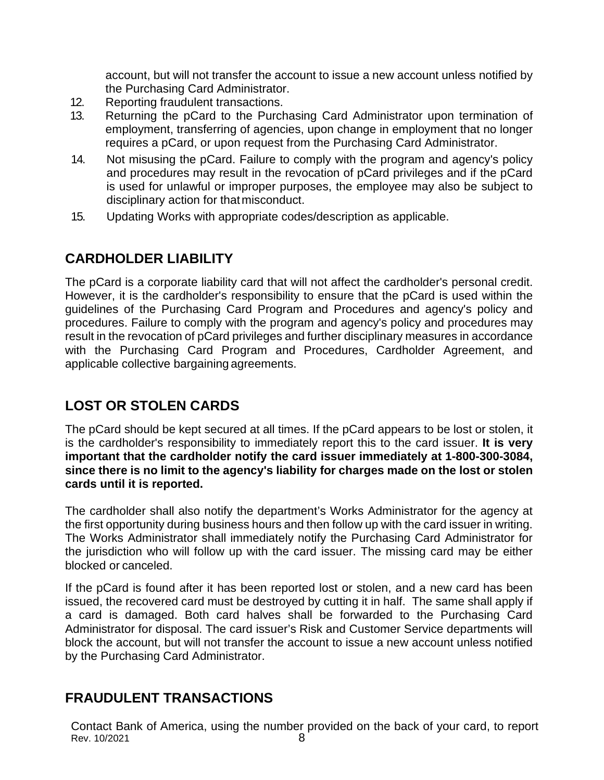account, but will not transfer the account to issue a new account unless notified by the Purchasing Card Administrator.

- 12. Reporting fraudulent transactions.
- 13. Returning the pCard to the Purchasing Card Administrator upon termination of employment, transferring of agencies, upon change in employment that no longer requires a pCard, or upon request from the Purchasing Card Administrator.
- 14. Not misusing the pCard. Failure to comply with the program and agency's policy and procedures may result in the revocation of pCard privileges and if the pCard is used for unlawful or improper purposes, the employee may also be subject to disciplinary action for that misconduct.
- 15. Updating Works with appropriate codes/description as applicable.

## **CARDHOLDER LIABILITY**

The pCard is a corporate liability card that will not affect the cardholder's personal credit. However, it is the cardholder's responsibility to ensure that the pCard is used within the guidelines of the Purchasing Card Program and Procedures and agency's policy and procedures. Failure to comply with the program and agency's policy and procedures may result in the revocation of pCard privileges and further disciplinary measures in accordance with the Purchasing Card Program and Procedures, Cardholder Agreement, and applicable collective bargaining agreements.

# **LOST OR STOLEN CARDS**

The pCard should be kept secured at all times. If the pCard appears to be lost or stolen, it is the cardholder's responsibility to immediately report this to the card issuer. **It is very important that the cardholder notify the card issuer immediately at 1-800-300-3084, since there is no limit to the agency's liability for charges made on the lost or stolen cards until it is reported.**

The cardholder shall also notify the department's Works Administrator for the agency at the first opportunity during business hours and then follow up with the card issuer in writing. The Works Administrator shall immediately notify the Purchasing Card Administrator for the jurisdiction who will follow up with the card issuer. The missing card may be either blocked or canceled.

If the pCard is found after it has been reported lost or stolen, and a new card has been issued, the recovered card must be destroyed by cutting it in half. The same shall apply if a card is damaged. Both card halves shall be forwarded to the Purchasing Card Administrator for disposal. The card issuer's Risk and Customer Service departments will block the account, but will not transfer the account to issue a new account unless notified by the Purchasing Card Administrator.

## **FRAUDULENT TRANSACTIONS**

Rev. 10/2021 8 Contact Bank of America, using the number provided on the back of your card, to report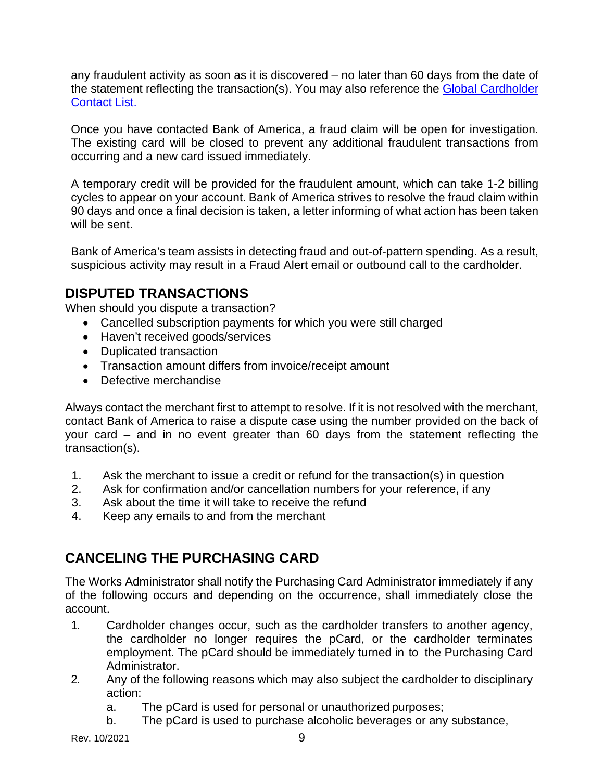any fraudulent activity as soon as it is discovered – no later than 60 days from the date of the statement reflecting the transaction(s). You may also reference the [Global Cardholder](https://www.bofaml.com/content/dam/boamlimages/documents/PDFs/cardholder-contacts.pdf)  [Contact List.](https://www.bofaml.com/content/dam/boamlimages/documents/PDFs/cardholder-contacts.pdf)

Once you have contacted Bank of America, a fraud claim will be open for investigation. The existing card will be closed to prevent any additional fraudulent transactions from occurring and a new card issued immediately.

A temporary credit will be provided for the fraudulent amount, which can take 1-2 billing cycles to appear on your account. Bank of America strives to resolve the fraud claim within 90 days and once a final decision is taken, a letter informing of what action has been taken will be sent.

Bank of America's team assists in detecting fraud and out-of-pattern spending. As a result, suspicious activity may result in a Fraud Alert email or outbound call to the cardholder.

## **DISPUTED TRANSACTIONS**

When should you dispute a transaction?

- Cancelled subscription payments for which you were still charged
- Haven't received goods/services
- Duplicated transaction
- Transaction amount differs from invoice/receipt amount
- Defective merchandise

Always contact the merchant first to attempt to resolve. If it is not resolved with the merchant, contact Bank of America to raise a dispute case using the number provided on the back of your card – and in no event greater than 60 days from the statement reflecting the transaction(s).

- 1. Ask the merchant to issue a credit or refund for the transaction(s) in question
- 2. Ask for confirmation and/or cancellation numbers for your reference, if any
- 3. Ask about the time it will take to receive the refund
- 4. Keep any emails to and from the merchant

## **CANCELING THE PURCHASING CARD**

The Works Administrator shall notify the Purchasing Card Administrator immediately if any of the following occurs and depending on the occurrence, shall immediately close the account.

- 1. Cardholder changes occur, such as the cardholder transfers to another agency, the cardholder no longer requires the pCard, or the cardholder terminates employment. The pCard should be immediately turned in to the Purchasing Card Administrator.
- 2. Any of the following reasons which may also subject the cardholder to disciplinary action:
	- a. The pCard is used for personal or unauthorized purposes;
	- b. The pCard is used to purchase alcoholic beverages or any substance,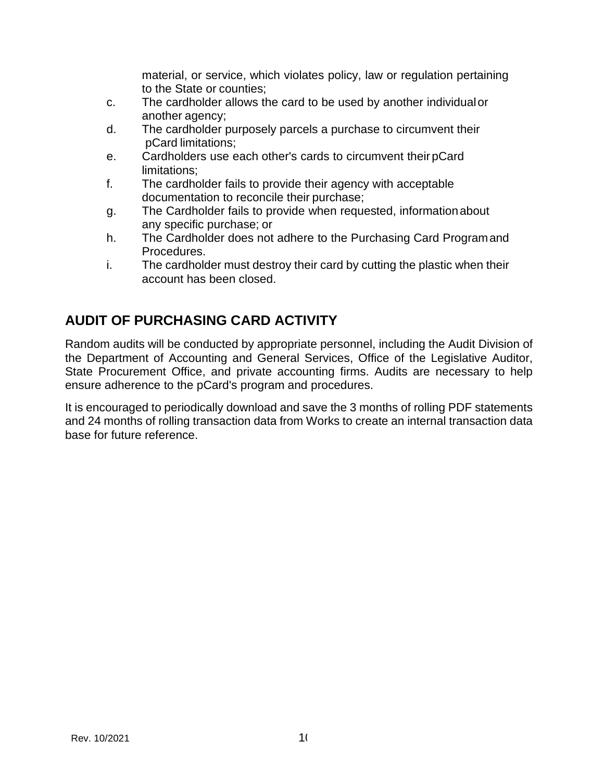material, or service, which violates policy, law or regulation pertaining to the State or counties;

- c. The cardholder allows the card to be used by another individualor another agency;
- d. The cardholder purposely parcels a purchase to circumvent their pCard limitations;
- e. Cardholders use each other's cards to circumvent theirpCard limitations;
- f. The cardholder fails to provide their agency with acceptable documentation to reconcile their purchase;
- g. The Cardholder fails to provide when requested, informationabout any specific purchase; or
- h. The Cardholder does not adhere to the Purchasing Card Programand Procedures.
- i. The cardholder must destroy their card by cutting the plastic when their account has been closed.

# **AUDIT OF PURCHASING CARD ACTIVITY**

Random audits will be conducted by appropriate personnel, including the Audit Division of the Department of Accounting and General Services, Office of the Legislative Auditor, State Procurement Office, and private accounting firms. Audits are necessary to help ensure adherence to the pCard's program and procedures.

It is encouraged to periodically download and save the 3 months of rolling PDF statements and 24 months of rolling transaction data from Works to create an internal transaction data base for future reference.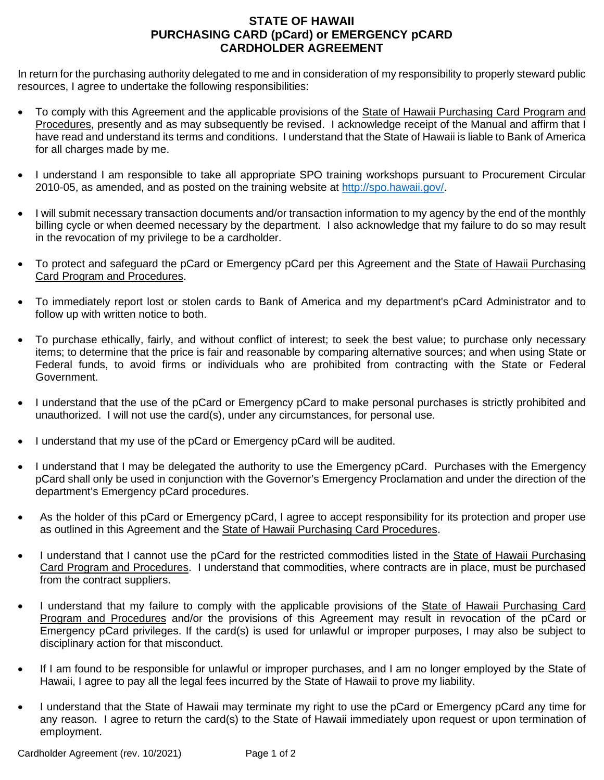#### **STATE OF HAWAII PURCHASING CARD (pCard) or EMERGENCY pCARD CARDHOLDER AGREEMENT**

In return for the purchasing authority delegated to me and in consideration of my responsibility to properly steward public resources, I agree to undertake the following responsibilities:

- To comply with this Agreement and the applicable provisions of the State of Hawaii Purchasing Card Program and Procedures, presently and as may subsequently be revised. I acknowledge receipt of the Manual and affirm that I have read and understand its terms and conditions. I understand that the State of Hawaii is liable to Bank of America for all charges made by me.
- I understand I am responsible to take all appropriate SPO training workshops pursuant to Procurement Circular 2010-05, as amended, and as posted on the training website at [http://spo.hawaii.gov/.](http://spo.hawaii.gov/)
- I will submit necessary transaction documents and/or transaction information to my agency by the end of the monthly billing cycle or when deemed necessary by the department. I also acknowledge that my failure to do so may result in the revocation of my privilege to be a cardholder.
- To protect and safeguard the pCard or Emergency pCard per this Agreement and the State of Hawaii Purchasing Card Program and Procedures.
- To immediately report lost or stolen cards to Bank of America and my department's pCard Administrator and to follow up with written notice to both.
- To purchase ethically, fairly, and without conflict of interest; to seek the best value; to purchase only necessary items; to determine that the price is fair and reasonable by comparing alternative sources; and when using State or Federal funds, to avoid firms or individuals who are prohibited from contracting with the State or Federal Government.
- I understand that the use of the pCard or Emergency pCard to make personal purchases is strictly prohibited and unauthorized.I will not use the card(s), under any circumstances, for personal use.
- I understand that my use of the pCard or Emergency pCard will be audited.
- I understand that I may be delegated the authority to use the Emergency pCard. Purchases with the Emergency pCard shall only be used in conjunction with the Governor's Emergency Proclamation and under the direction of the department's Emergency pCard procedures.
- As the holder of this pCard or Emergency pCard, I agree to accept responsibility for its protection and proper use as outlined in this Agreement and the State of Hawaii Purchasing Card Procedures.
- I understand that I cannot use the pCard for the restricted commodities listed in the State of Hawaii Purchasing Card Program and Procedures. I understand that commodities, where contracts are in place, must be purchased from the contract suppliers.
- I understand that my failure to comply with the applicable provisions of the State of Hawaii Purchasing Card Program and Procedures and/or the provisions of this Agreement may result in revocation of the pCard or Emergency pCard privileges. If the card(s) is used for unlawful or improper purposes, I may also be subject to disciplinary action for that misconduct.
- If I am found to be responsible for unlawful or improper purchases, and I am no longer employed by the State of Hawaii, I agree to pay all the legal fees incurred by the State of Hawaii to prove my liability.
- I understand that the State of Hawaii may terminate my right to use the pCard or Emergency pCard any time for any reason. I agree to return the card(s) to the State of Hawaii immediately upon request or upon termination of employment.

Cardholder Agreement (rev. 10/2021) Page 1 of 2